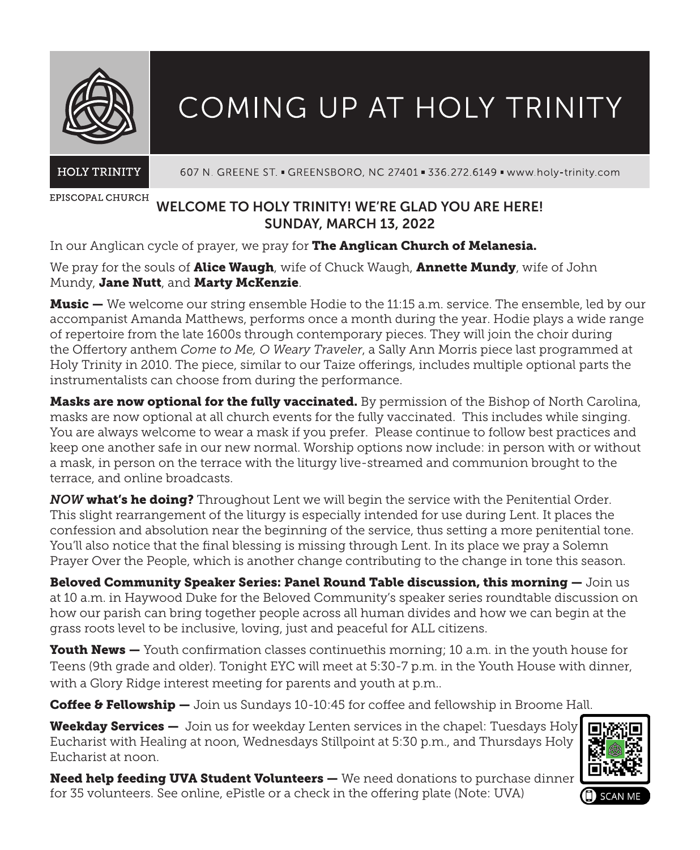

# COMING UP AT HOLY TRINITY

**HOLY TRINITY** 

607 N. GREENE ST. = GREENSBORO, NC 27401 = 336.272.6149 = www.holy-trinity.com

EPISCOPAL CHURCH

# WELCOME TO HOLY TRINITY! WE'RE GLAD YOU ARE HERE! SUNDAY, MARCH 13, 2022

In our Anglican cycle of prayer, we pray for The Anglican Church of Melanesia.

We pray for the souls of **Alice Waugh**, wife of Chuck Waugh, **Annette Mundy**, wife of John Mundy, Jane Nutt, and Marty McKenzie.

**Music —** We welcome our string ensemble Hodie to the 11:15 a.m. service. The ensemble, led by our accompanist Amanda Matthews, performs once a month during the year. Hodie plays a wide range of repertoire from the late 1600s through contemporary pieces. They will join the choir during the Offertory anthem *Come to Me, O Weary Traveler*, a Sally Ann Morris piece last programmed at Holy Trinity in 2010. The piece, similar to our Taize offerings, includes multiple optional parts the instrumentalists can choose from during the performance.

Masks are now optional for the fully vaccinated. By permission of the Bishop of North Carolina, masks are now optional at all church events for the fully vaccinated. This includes while singing. You are always welcome to wear a mask if you prefer. Please continue to follow best practices and keep one another safe in our new normal. Worship options now include: in person with or without a mask, in person on the terrace with the liturgy live-streamed and communion brought to the terrace, and online broadcasts.

*NOW* what's he doing? Throughout Lent we will begin the service with the Penitential Order. This slight rearrangement of the liturgy is especially intended for use during Lent. It places the confession and absolution near the beginning of the service, thus setting a more penitential tone. You'll also notice that the final blessing is missing through Lent. In its place we pray a Solemn Prayer Over the People, which is another change contributing to the change in tone this season.

Beloved Community Speaker Series: Panel Round Table discussion, this morning — Join us at 10 a.m. in Haywood Duke for the Beloved Community's speaker series roundtable discussion on how our parish can bring together people across all human divides and how we can begin at the grass roots level to be inclusive, loving, just and peaceful for ALL citizens.

Youth News — Youth confirmation classes continuethis morning; 10 a.m. in the youth house for Teens (9th grade and older). Tonight EYC will meet at 5:30-7 p.m. in the Youth House with dinner, with a Glory Ridge interest meeting for parents and youth at p.m..

Coffee & Fellowship — Join us Sundays 10-10:45 for coffee and fellowship in Broome Hall.

Weekday Services — Join us for weekday Lenten services in the chapel: Tuesdays Holy Eucharist with Healing at noon, Wednesdays Stillpoint at 5:30 p.m., and Thursdays Holy Eucharist at noon.



Need help feeding UVA Student Volunteers — We need donations to purchase dinner for 35 volunteers. See online, ePistle or a check in the offering plate (Note: UVA)